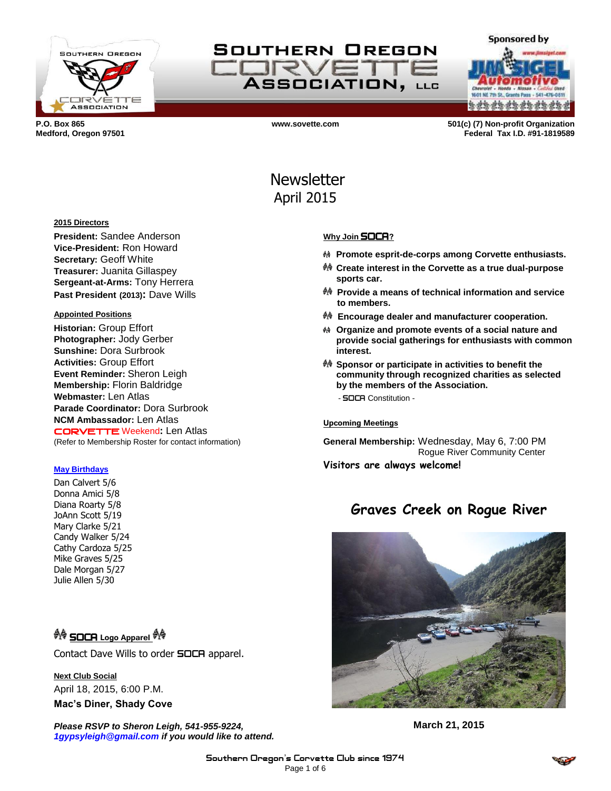

## SOUTHERN OREGON ELIRVE **ASSOCIATION, LLG**

**a da da da da da da da** 

**Sponsored by** 

**P.O. Box 865 www.sovette.com 501(c) (7) Non-profit Organization Medford, Oregon 97501 Federal Tax I.D. #91-1819589**

# Newsletter April 2015

## **Why Join** SOCA**?**

- **Promote esprit-de-corps among Corvette enthusiasts.**
- **Create interest in the Corvette as a true dual-purpose sports car.**
- **Provide a means of technical information and service to members.**
- **Encourage dealer and manufacturer cooperation.**
- **Organize and promote events of a social nature and provide social gatherings for enthusiasts with common interest.**
- **Sponsor or participate in activities to benefit the community through recognized charities as selected by the members of the Association.**

- SOCA Constitution -

#### **Upcoming Meetings**

**General Membership:** Wednesday, May 6, 7:00 PM Rogue River Community Center **Visitors are always welcome!**

## **Graves Creek on Rogue River**



**March 21, 2015**

#### **2015 Directors**

**President:** Sandee Anderson **Vice-President:** Ron Howard **Secretary:** Geoff White **Treasurer:** Juanita Gillaspey **Sergeant-at-Arms:** Tony Herrera **Past President (2013):** Dave Wills

#### **Appointed Positions**

**Historian:** Group Effort **Photographer:** Jody Gerber **Sunshine:** Dora Surbrook **Activities:** Group Effort **Event Reminder:** Sheron Leigh **Membership:** Florin Baldridge **Webmaster:** Len Atlas **Parade Coordinator:** Dora Surbrook **NCM Ambassador:** Len Atlas CORVETTE Weekend**:** Len Atlas (Refer to Membership Roster for contact information)

#### **May Birthdays**

Dan Calvert 5/6 Donna Amici 5/8 Diana Roarty 5/8 JoAnn Scott 5/19 Mary Clarke 5/21 Candy Walker 5/24 Cathy Cardoza 5/25 Mike Graves 5/25 Dale Morgan 5/27 Julie Allen 5/30

### <sup>��</sup> SOCA Logo Apparel <sup>��</sup>

Contact Dave Wills to order **SOCA** apparel.

**Next Club Social** April 18, 2015, 6:00 P.M. **Mac's Diner, Shady Cove**

*Please RSVP to Sheron Leigh, 541-955-9224, 1gypsyleigh@gmail.com if you would like to attend.*

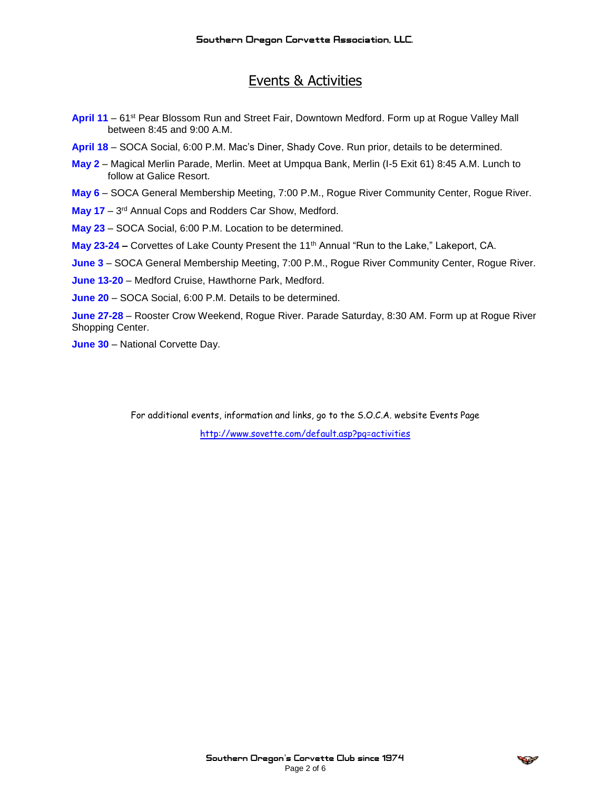## Events & Activities

- **April 11** 61st Pear Blossom Run and Street Fair, Downtown Medford. Form up at Rogue Valley Mall between 8:45 and 9:00 A.M.
- **April 18** SOCA Social, 6:00 P.M. Mac's Diner, Shady Cove. Run prior, details to be determined.
- **May 2**  Magical Merlin Parade, Merlin. Meet at Umpqua Bank, Merlin (I-5 Exit 61) 8:45 A.M. Lunch to follow at Galice Resort.
- **May 6**  SOCA General Membership Meeting, 7:00 P.M., Rogue River Community Center, Rogue River.
- May 17 3<sup>rd</sup> Annual Cops and Rodders Car Show, Medford.
- **May 23**  SOCA Social, 6:00 P.M. Location to be determined.
- **May 23-24 –** Corvettes of Lake County Present the 11th Annual "Run to the Lake," Lakeport, CA.
- **June 3**  SOCA General Membership Meeting, 7:00 P.M., Rogue River Community Center, Rogue River.
- **June 13-20**  Medford Cruise, Hawthorne Park, Medford.
- **June 20**  SOCA Social, 6:00 P.M. Details to be determined.

**June 27-28** – Rooster Crow Weekend, Rogue River. Parade Saturday, 8:30 AM. Form up at Rogue River Shopping Center.

**June 30** – National Corvette Day.

For additional events, information and links, go to the S.O.C.A. website Events Page <http://www.sovette.com/default.asp?pg=activities>

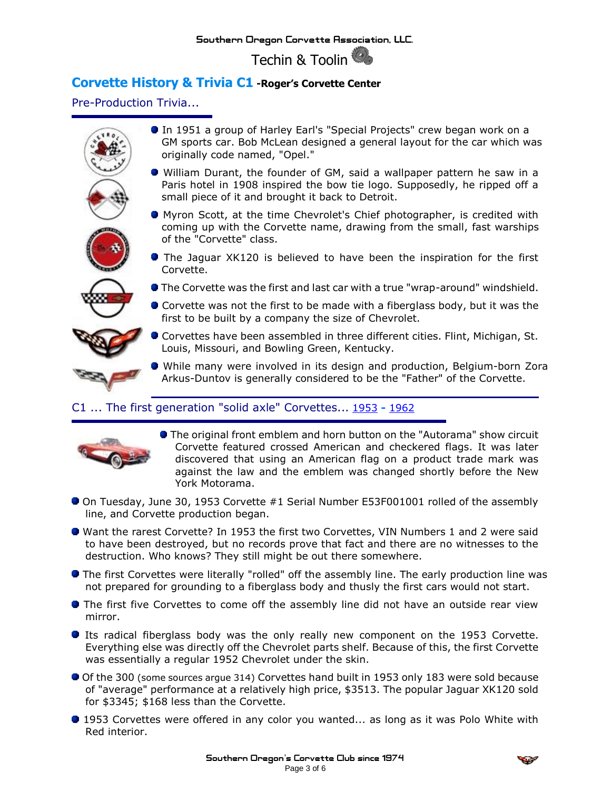Techin & Toolin

## **Corvette History & Trivia C1 -Roger's Corvette Center**

Pre-Production Trivia...



## C1 ... The first generation "solid axle" Corvettes... [1953](http://www.rogerscorvette.com/specs/63.htm) **-** 1962



- The original front emblem and horn button on the "Autorama" show circuit Corvette featured crossed American and checkered flags. It was later discovered that using an American flag on a product trade mark was against the law and the emblem was changed shortly before the New York Motorama.
- On Tuesday, June 30, 1953 Corvette #1 Serial Number E53F001001 rolled of the assembly line, and Corvette production began.
- Want the rarest Corvette? In 1953 the first two Corvettes, VIN Numbers 1 and 2 were said to have been destroyed, but no records prove that fact and there are no witnesses to the destruction. Who knows? They still might be out there somewhere.
- **The first Corvettes were literally "rolled" off the assembly line. The early production line was** not prepared for grounding to a fiberglass body and thusly the first cars would not start.
- **The first five Corvettes to come off the assembly line did not have an outside rear view** mirror.
- **Its radical fiberglass body was the only really new component on the 1953 Corvette.** Everything else was directly off the Chevrolet parts shelf. Because of this, the first Corvette was essentially a regular 1952 Chevrolet under the skin.
- Of the 300 (some sources argue 314) Corvettes hand built in 1953 only 183 were sold because of "average" performance at a relatively high price, \$3513. The popular Jaguar XK120 sold for \$3345; \$168 less than the Corvette.
- **1953 Corvettes were offered in any color you wanted... as long as it was Polo White with** Red interior.